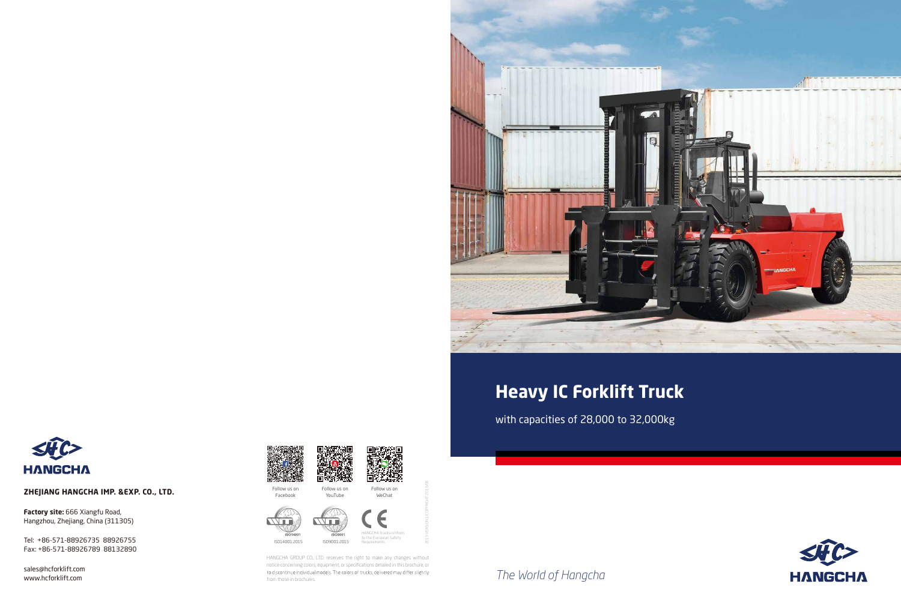*The World of Hangcha*





with capacities of 28,000 to 32,000kg





# **Heavy IC Forklift Truck**

**Factory site:** 666 Xiangfu Road, Hangzhou, Zhejiang, China (311305)

#### **ZHEJIANG HANGCHA IMP. &EXP. CO., LTD.**

sales@hcforklift.com www.hcforklift.com





Tel: +86-571-88926735 88926755 Fax: +86-571-88926789 88132890





HANGCHA GROUP CO., LTD. reserves the right to make any changes without notice concerning colors, equipment, or specifications detailed in this brochure, or to discontinue individual models. The colors of trucks, delivered may differ slightly from those in brochures.

2019 VERSION 1/COPYRIGHT 2019/06

Follow us on Facebook Follow us on

YouTube

Follow us on WeChat